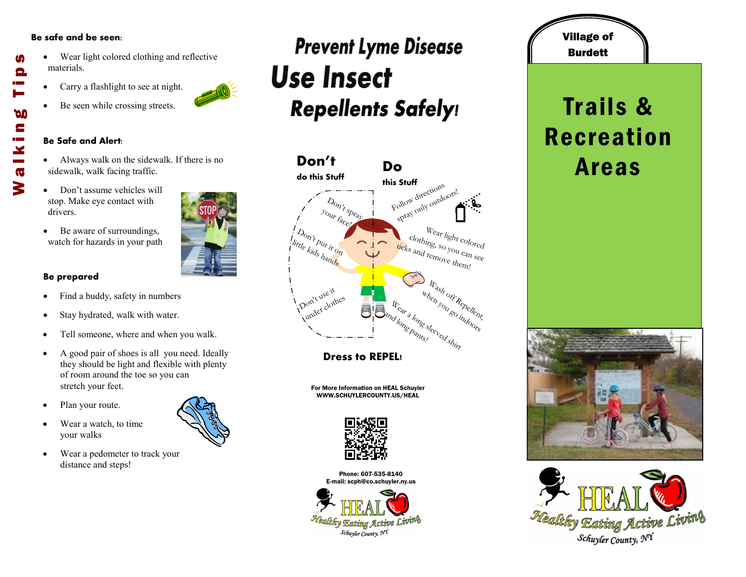#### **Be safe and be seen:**

M

Θ

**DO** E

 $\mathbf{X}$  $\overline{\mathbf{G}}$ 3

- Wear light colored clothing and reflective materials. Walking Tips
	- Carry a flashlight to see at night.
	- Be seen while crossing streets.

#### **Be Safe and Alert:**

- Always walk on the sidewalk. If there is no sidewalk, walk facing traffic.
- Don't assume vehicles will stop. Make eye contact with drivers.
- Be aware of surroundings, watch for hazards in your path

### **Be prepared**

- Find a buddy, safety in numbers
- Stay hydrated, walk with water.
- Tell someone, where and when you walk.
- A good pair of shoes is all you need. Ideally they should be light and flexible with plenty of room around the toe so you can stretch your feet.
- Plan your route.
- Wear a watch, to time your walks
- Wear a pedometer to track your distance and steps!

# **Prevent Lyme Disease Use Insect Repellents Safely!**



**Dress to REPEL!**

For More Information on HEAL Schuyler WWW.SCHUYLERCOUNTY.US/HEAL



Phone: 607-535-8140 E-mail: scph@co.schuyler.ny.us



## Village of **Burdett**

# Trails & Recreation Areas